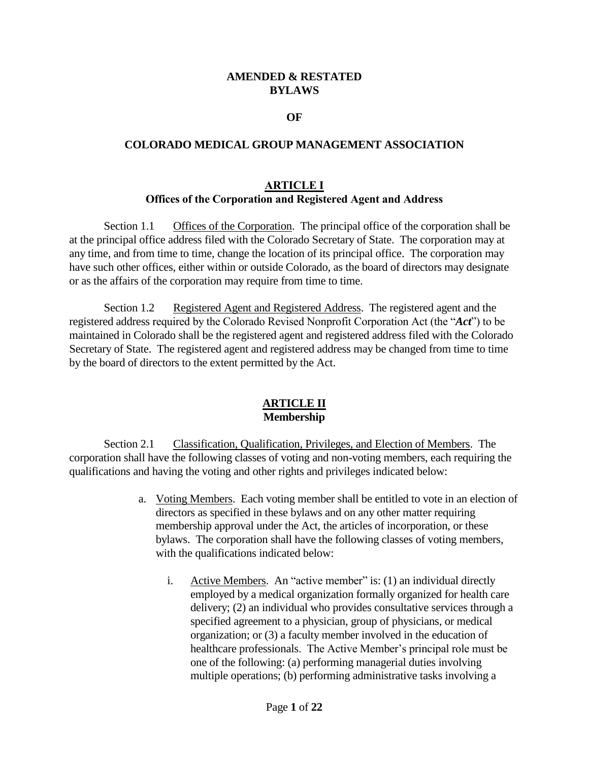### **AMENDED & RESTATED BYLAWS**

#### **OF**

#### **COLORADO MEDICAL GROUP MANAGEMENT ASSOCIATION**

### **ARTICLE I Offices of the Corporation and Registered Agent and Address**

Section 1.1 Offices of the Corporation. The principal office of the corporation shall be at the principal office address filed with the Colorado Secretary of State. The corporation may at any time, and from time to time, change the location of its principal office. The corporation may have such other offices, either within or outside Colorado, as the board of directors may designate or as the affairs of the corporation may require from time to time.

Section 1.2 Registered Agent and Registered Address. The registered agent and the registered address required by the Colorado Revised Nonprofit Corporation Act (the "*Act*") to be maintained in Colorado shall be the registered agent and registered address filed with the Colorado Secretary of State. The registered agent and registered address may be changed from time to time by the board of directors to the extent permitted by the Act.

### **ARTICLE II Membership**

Section 2.1 Classification, Qualification, Privileges, and Election of Members. The corporation shall have the following classes of voting and non-voting members, each requiring the qualifications and having the voting and other rights and privileges indicated below:

- a. Voting Members. Each voting member shall be entitled to vote in an election of directors as specified in these bylaws and on any other matter requiring membership approval under the Act, the articles of incorporation, or these bylaws. The corporation shall have the following classes of voting members, with the qualifications indicated below:
	- i. Active Members. An "active member" is: (1) an individual directly employed by a medical organization formally organized for health care delivery; (2) an individual who provides consultative services through a specified agreement to a physician, group of physicians, or medical organization; or (3) a faculty member involved in the education of healthcare professionals. The Active Member's principal role must be one of the following: (a) performing managerial duties involving multiple operations; (b) performing administrative tasks involving a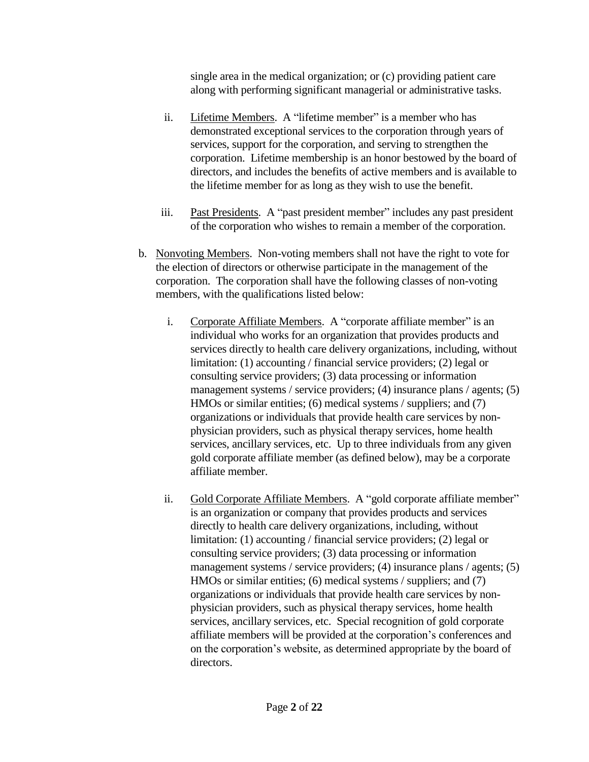single area in the medical organization; or (c) providing patient care along with performing significant managerial or administrative tasks.

- ii. Lifetime Members. A "lifetime member" is a member who has demonstrated exceptional services to the corporation through years of services, support for the corporation, and serving to strengthen the corporation. Lifetime membership is an honor bestowed by the board of directors, and includes the benefits of active members and is available to the lifetime member for as long as they wish to use the benefit.
- iii. Past Presidents. A "past president member" includes any past president of the corporation who wishes to remain a member of the corporation.
- b. Nonvoting Members. Non-voting members shall not have the right to vote for the election of directors or otherwise participate in the management of the corporation. The corporation shall have the following classes of non-voting members, with the qualifications listed below:
	- i. Corporate Affiliate Members. A "corporate affiliate member" is an individual who works for an organization that provides products and services directly to health care delivery organizations, including, without limitation: (1) accounting / financial service providers; (2) legal or consulting service providers; (3) data processing or information management systems / service providers; (4) insurance plans / agents; (5) HMOs or similar entities; (6) medical systems / suppliers; and (7) organizations or individuals that provide health care services by nonphysician providers, such as physical therapy services, home health services, ancillary services, etc. Up to three individuals from any given gold corporate affiliate member (as defined below), may be a corporate affiliate member.
	- ii. Gold Corporate Affiliate Members. A "gold corporate affiliate member" is an organization or company that provides products and services directly to health care delivery organizations, including, without limitation: (1) accounting / financial service providers; (2) legal or consulting service providers; (3) data processing or information management systems / service providers; (4) insurance plans / agents; (5) HMOs or similar entities; (6) medical systems / suppliers; and (7) organizations or individuals that provide health care services by nonphysician providers, such as physical therapy services, home health services, ancillary services, etc. Special recognition of gold corporate affiliate members will be provided at the corporation's conferences and on the corporation's website, as determined appropriate by the board of directors.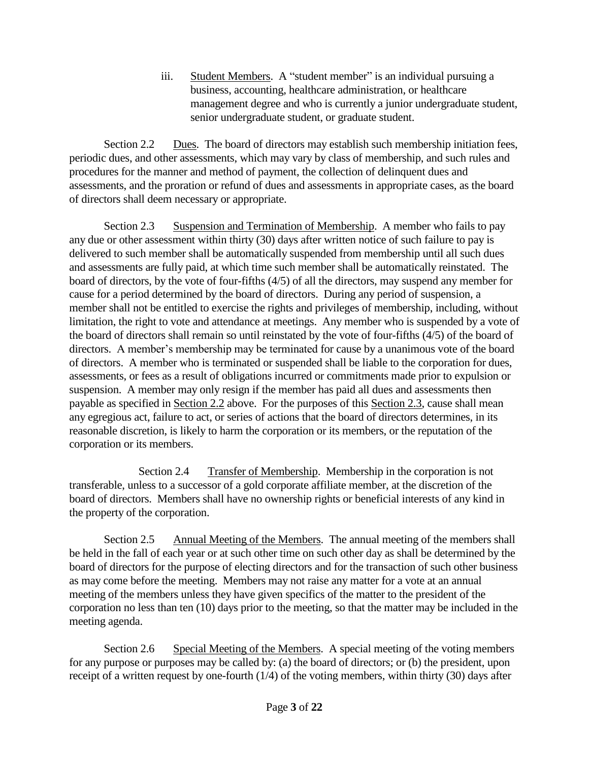iii. Student Members. A "student member" is an individual pursuing a business, accounting, healthcare administration, or healthcare management degree and who is currently a junior undergraduate student, senior undergraduate student, or graduate student.

Section 2.2 Dues. The board of directors may establish such membership initiation fees, periodic dues, and other assessments, which may vary by class of membership, and such rules and procedures for the manner and method of payment, the collection of delinquent dues and assessments, and the proration or refund of dues and assessments in appropriate cases, as the board of directors shall deem necessary or appropriate.

Section 2.3 Suspension and Termination of Membership. A member who fails to pay any due or other assessment within thirty (30) days after written notice of such failure to pay is delivered to such member shall be automatically suspended from membership until all such dues and assessments are fully paid, at which time such member shall be automatically reinstated. The board of directors, by the vote of four-fifths (4/5) of all the directors, may suspend any member for cause for a period determined by the board of directors. During any period of suspension, a member shall not be entitled to exercise the rights and privileges of membership, including, without limitation, the right to vote and attendance at meetings. Any member who is suspended by a vote of the board of directors shall remain so until reinstated by the vote of four-fifths (4/5) of the board of directors. A member's membership may be terminated for cause by a unanimous vote of the board of directors. A member who is terminated or suspended shall be liable to the corporation for dues, assessments, or fees as a result of obligations incurred or commitments made prior to expulsion or suspension. A member may only resign if the member has paid all dues and assessments then payable as specified in Section 2.2 above. For the purposes of this Section 2.3, cause shall mean any egregious act, failure to act, or series of actions that the board of directors determines, in its reasonable discretion, is likely to harm the corporation or its members, or the reputation of the corporation or its members.

Section 2.4 Transfer of Membership. Membership in the corporation is not transferable, unless to a successor of a gold corporate affiliate member, at the discretion of the board of directors. Members shall have no ownership rights or beneficial interests of any kind in the property of the corporation.

Section 2.5 Annual Meeting of the Members. The annual meeting of the members shall be held in the fall of each year or at such other time on such other day as shall be determined by the board of directors for the purpose of electing directors and for the transaction of such other business as may come before the meeting. Members may not raise any matter for a vote at an annual meeting of the members unless they have given specifics of the matter to the president of the corporation no less than ten (10) days prior to the meeting, so that the matter may be included in the meeting agenda.

Section 2.6 Special Meeting of the Members. A special meeting of the voting members for any purpose or purposes may be called by: (a) the board of directors; or (b) the president, upon receipt of a written request by one-fourth (1/4) of the voting members, within thirty (30) days after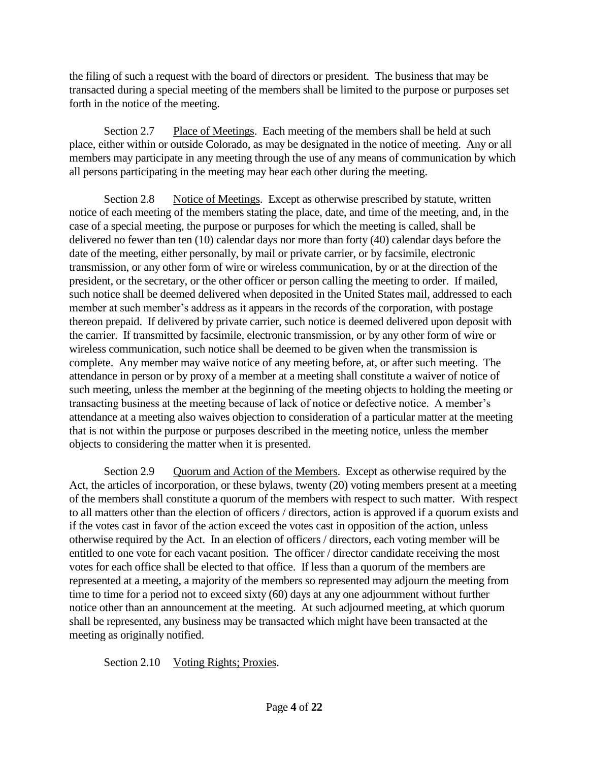the filing of such a request with the board of directors or president. The business that may be transacted during a special meeting of the members shall be limited to the purpose or purposes set forth in the notice of the meeting.

Section 2.7 Place of Meetings. Each meeting of the members shall be held at such place, either within or outside Colorado, as may be designated in the notice of meeting. Any or all members may participate in any meeting through the use of any means of communication by which all persons participating in the meeting may hear each other during the meeting.

Section 2.8 Notice of Meetings. Except as otherwise prescribed by statute, written notice of each meeting of the members stating the place, date, and time of the meeting, and, in the case of a special meeting, the purpose or purposes for which the meeting is called, shall be delivered no fewer than ten (10) calendar days nor more than forty (40) calendar days before the date of the meeting, either personally, by mail or private carrier, or by facsimile, electronic transmission, or any other form of wire or wireless communication, by or at the direction of the president, or the secretary, or the other officer or person calling the meeting to order. If mailed, such notice shall be deemed delivered when deposited in the United States mail, addressed to each member at such member's address as it appears in the records of the corporation, with postage thereon prepaid. If delivered by private carrier, such notice is deemed delivered upon deposit with the carrier. If transmitted by facsimile, electronic transmission, or by any other form of wire or wireless communication, such notice shall be deemed to be given when the transmission is complete. Any member may waive notice of any meeting before, at, or after such meeting. The attendance in person or by proxy of a member at a meeting shall constitute a waiver of notice of such meeting, unless the member at the beginning of the meeting objects to holding the meeting or transacting business at the meeting because of lack of notice or defective notice. A member's attendance at a meeting also waives objection to consideration of a particular matter at the meeting that is not within the purpose or purposes described in the meeting notice, unless the member objects to considering the matter when it is presented.

Section 2.9 Quorum and Action of the Members. Except as otherwise required by the Act, the articles of incorporation, or these bylaws, twenty (20) voting members present at a meeting of the members shall constitute a quorum of the members with respect to such matter. With respect to all matters other than the election of officers / directors, action is approved if a quorum exists and if the votes cast in favor of the action exceed the votes cast in opposition of the action, unless otherwise required by the Act. In an election of officers / directors, each voting member will be entitled to one vote for each vacant position. The officer / director candidate receiving the most votes for each office shall be elected to that office. If less than a quorum of the members are represented at a meeting, a majority of the members so represented may adjourn the meeting from time to time for a period not to exceed sixty (60) days at any one adjournment without further notice other than an announcement at the meeting. At such adjourned meeting, at which quorum shall be represented, any business may be transacted which might have been transacted at the meeting as originally notified.

Section 2.10 Voting Rights; Proxies.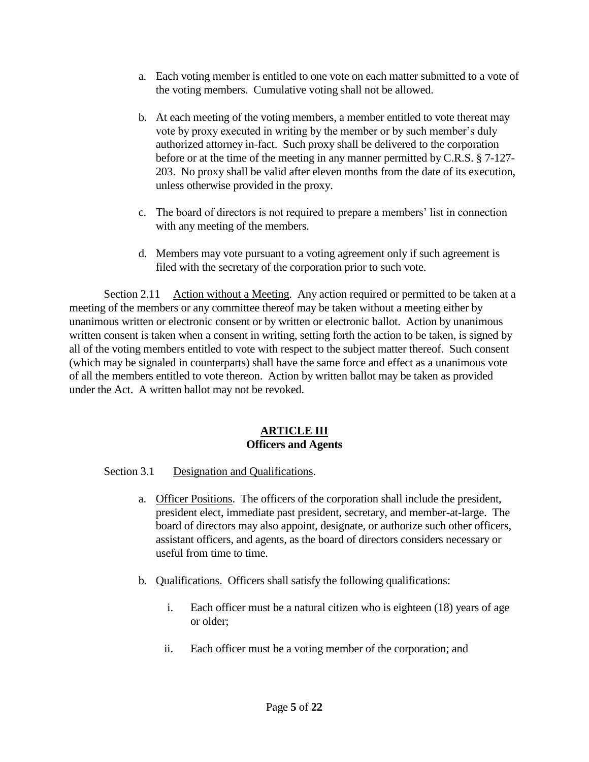- a. Each voting member is entitled to one vote on each matter submitted to a vote of the voting members. Cumulative voting shall not be allowed.
- b. At each meeting of the voting members, a member entitled to vote thereat may vote by proxy executed in writing by the member or by such member's duly authorized attorney in-fact. Such proxy shall be delivered to the corporation before or at the time of the meeting in any manner permitted by C.R.S. § 7-127- 203. No proxy shall be valid after eleven months from the date of its execution, unless otherwise provided in the proxy.
- c. The board of directors is not required to prepare a members' list in connection with any meeting of the members.
- d. Members may vote pursuant to a voting agreement only if such agreement is filed with the secretary of the corporation prior to such vote.

Section 2.11 Action without a Meeting. Any action required or permitted to be taken at a meeting of the members or any committee thereof may be taken without a meeting either by unanimous written or electronic consent or by written or electronic ballot. Action by unanimous written consent is taken when a consent in writing, setting forth the action to be taken, is signed by all of the voting members entitled to vote with respect to the subject matter thereof. Such consent (which may be signaled in counterparts) shall have the same force and effect as a unanimous vote of all the members entitled to vote thereon. Action by written ballot may be taken as provided under the Act. A written ballot may not be revoked.

## **ARTICLE III Officers and Agents**

### Section 3.1 Designation and Qualifications.

- a. Officer Positions. The officers of the corporation shall include the president, president elect, immediate past president, secretary, and member-at-large. The board of directors may also appoint, designate, or authorize such other officers, assistant officers, and agents, as the board of directors considers necessary or useful from time to time.
- b. Qualifications. Officers shall satisfy the following qualifications:
	- i. Each officer must be a natural citizen who is eighteen (18) years of age or older;
	- ii. Each officer must be a voting member of the corporation; and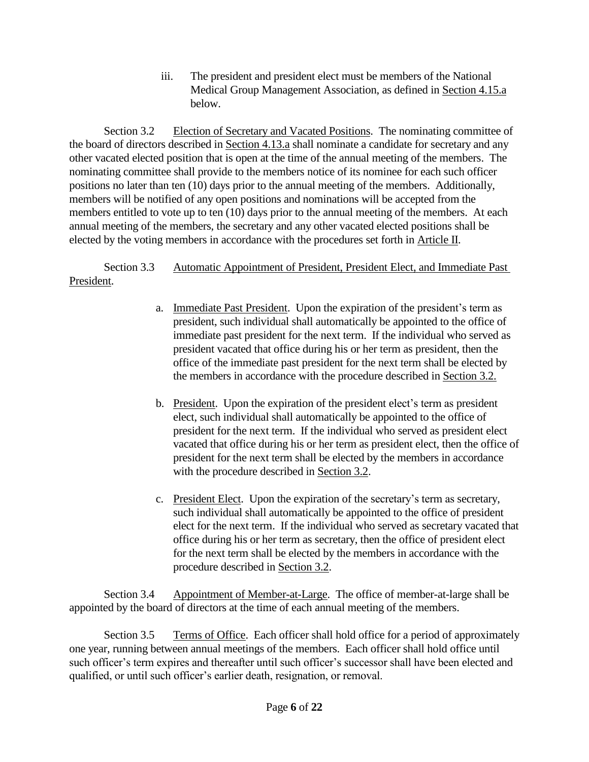iii. The president and president elect must be members of the National Medical Group Management Association, as defined in Section 4.15.a below.

Section 3.2 Election of Secretary and Vacated Positions. The nominating committee of the board of directors described in Section 4.13.a shall nominate a candidate for secretary and any other vacated elected position that is open at the time of the annual meeting of the members. The nominating committee shall provide to the members notice of its nominee for each such officer positions no later than ten (10) days prior to the annual meeting of the members. Additionally, members will be notified of any open positions and nominations will be accepted from the members entitled to vote up to ten (10) days prior to the annual meeting of the members. At each annual meeting of the members, the secretary and any other vacated elected positions shall be elected by the voting members in accordance with the procedures set forth in Article II.

Section 3.3 Automatic Appointment of President, President Elect, and Immediate Past President.

- a. Immediate Past President. Upon the expiration of the president's term as president, such individual shall automatically be appointed to the office of immediate past president for the next term. If the individual who served as president vacated that office during his or her term as president, then the office of the immediate past president for the next term shall be elected by the members in accordance with the procedure described in Section 3.2.
- b. President. Upon the expiration of the president elect's term as president elect, such individual shall automatically be appointed to the office of president for the next term. If the individual who served as president elect vacated that office during his or her term as president elect, then the office of president for the next term shall be elected by the members in accordance with the procedure described in Section 3.2.
- c. President Elect. Upon the expiration of the secretary's term as secretary, such individual shall automatically be appointed to the office of president elect for the next term. If the individual who served as secretary vacated that office during his or her term as secretary, then the office of president elect for the next term shall be elected by the members in accordance with the procedure described in Section 3.2.

Section 3.4 Appointment of Member-at-Large. The office of member-at-large shall be appointed by the board of directors at the time of each annual meeting of the members.

Section 3.5 Terms of Office. Each officer shall hold office for a period of approximately one year, running between annual meetings of the members. Each officer shall hold office until such officer's term expires and thereafter until such officer's successor shall have been elected and qualified, or until such officer's earlier death, resignation, or removal.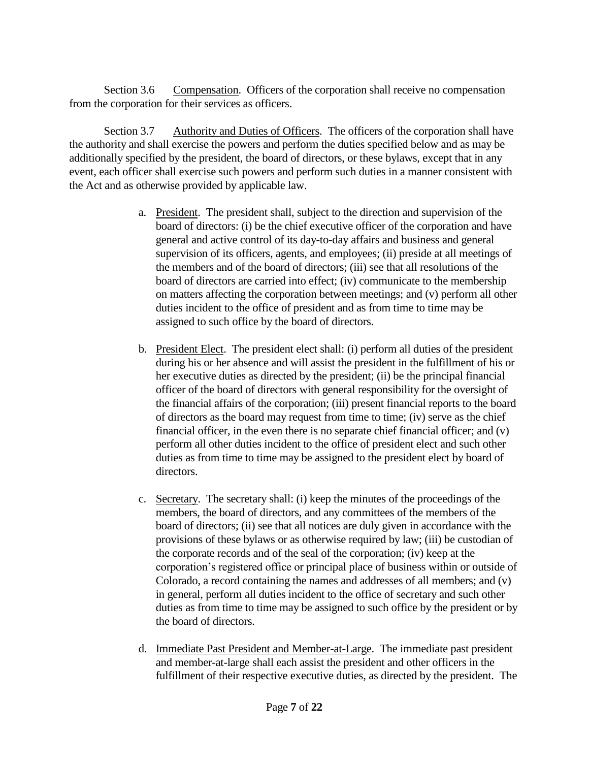Section 3.6 Compensation. Officers of the corporation shall receive no compensation from the corporation for their services as officers.

Section 3.7 Authority and Duties of Officers. The officers of the corporation shall have the authority and shall exercise the powers and perform the duties specified below and as may be additionally specified by the president, the board of directors, or these bylaws, except that in any event, each officer shall exercise such powers and perform such duties in a manner consistent with the Act and as otherwise provided by applicable law.

- a. President. The president shall, subject to the direction and supervision of the board of directors: (i) be the chief executive officer of the corporation and have general and active control of its day-to-day affairs and business and general supervision of its officers, agents, and employees; (ii) preside at all meetings of the members and of the board of directors; (iii) see that all resolutions of the board of directors are carried into effect; (iv) communicate to the membership on matters affecting the corporation between meetings; and (v) perform all other duties incident to the office of president and as from time to time may be assigned to such office by the board of directors.
- b. President Elect. The president elect shall: (i) perform all duties of the president during his or her absence and will assist the president in the fulfillment of his or her executive duties as directed by the president; (ii) be the principal financial officer of the board of directors with general responsibility for the oversight of the financial affairs of the corporation; (iii) present financial reports to the board of directors as the board may request from time to time; (iv) serve as the chief financial officer, in the even there is no separate chief financial officer; and (v) perform all other duties incident to the office of president elect and such other duties as from time to time may be assigned to the president elect by board of directors.
- c. Secretary. The secretary shall: (i) keep the minutes of the proceedings of the members, the board of directors, and any committees of the members of the board of directors; (ii) see that all notices are duly given in accordance with the provisions of these bylaws or as otherwise required by law; (iii) be custodian of the corporate records and of the seal of the corporation; (iv) keep at the corporation's registered office or principal place of business within or outside of Colorado, a record containing the names and addresses of all members; and (v) in general, perform all duties incident to the office of secretary and such other duties as from time to time may be assigned to such office by the president or by the board of directors.
- d. Immediate Past President and Member-at-Large. The immediate past president and member-at-large shall each assist the president and other officers in the fulfillment of their respective executive duties, as directed by the president. The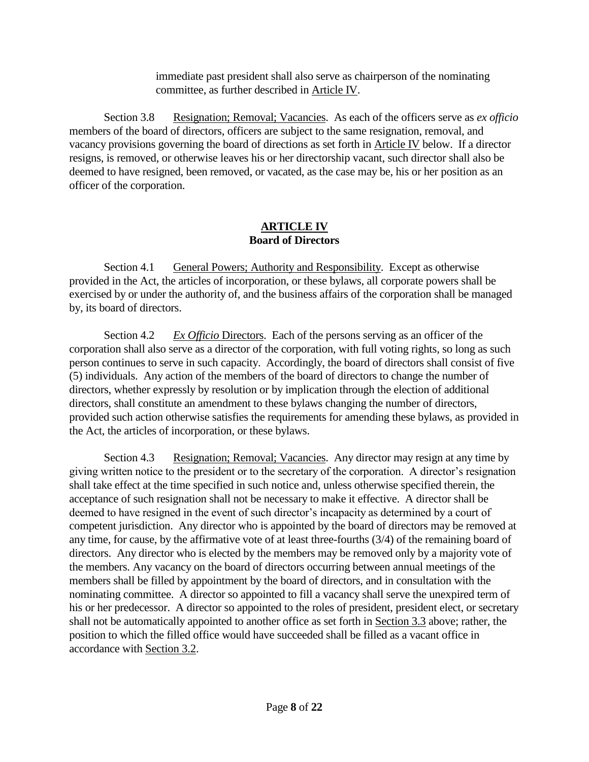immediate past president shall also serve as chairperson of the nominating committee, as further described in Article IV.

Section 3.8 Resignation; Removal; Vacancies. As each of the officers serve as *ex officio* members of the board of directors, officers are subject to the same resignation, removal, and vacancy provisions governing the board of directions as set forth in Article IV below. If a director resigns, is removed, or otherwise leaves his or her directorship vacant, such director shall also be deemed to have resigned, been removed, or vacated, as the case may be, his or her position as an officer of the corporation.

### **ARTICLE IV Board of Directors**

Section 4.1 General Powers; Authority and Responsibility. Except as otherwise provided in the Act, the articles of incorporation, or these bylaws, all corporate powers shall be exercised by or under the authority of, and the business affairs of the corporation shall be managed by, its board of directors.

Section 4.2 *Ex Officio* Directors. Each of the persons serving as an officer of the corporation shall also serve as a director of the corporation, with full voting rights, so long as such person continues to serve in such capacity. Accordingly, the board of directors shall consist of five (5) individuals. Any action of the members of the board of directors to change the number of directors, whether expressly by resolution or by implication through the election of additional directors, shall constitute an amendment to these bylaws changing the number of directors, provided such action otherwise satisfies the requirements for amending these bylaws, as provided in the Act, the articles of incorporation, or these bylaws.

Section 4.3 Resignation; Removal; Vacancies. Any director may resign at any time by giving written notice to the president or to the secretary of the corporation. A director's resignation shall take effect at the time specified in such notice and, unless otherwise specified therein, the acceptance of such resignation shall not be necessary to make it effective. A director shall be deemed to have resigned in the event of such director's incapacity as determined by a court of competent jurisdiction. Any director who is appointed by the board of directors may be removed at any time, for cause, by the affirmative vote of at least three-fourths (3/4) of the remaining board of directors. Any director who is elected by the members may be removed only by a majority vote of the members. Any vacancy on the board of directors occurring between annual meetings of the members shall be filled by appointment by the board of directors, and in consultation with the nominating committee. A director so appointed to fill a vacancy shall serve the unexpired term of his or her predecessor. A director so appointed to the roles of president, president elect, or secretary shall not be automatically appointed to another office as set forth in Section 3.3 above; rather, the position to which the filled office would have succeeded shall be filled as a vacant office in accordance with Section 3.2.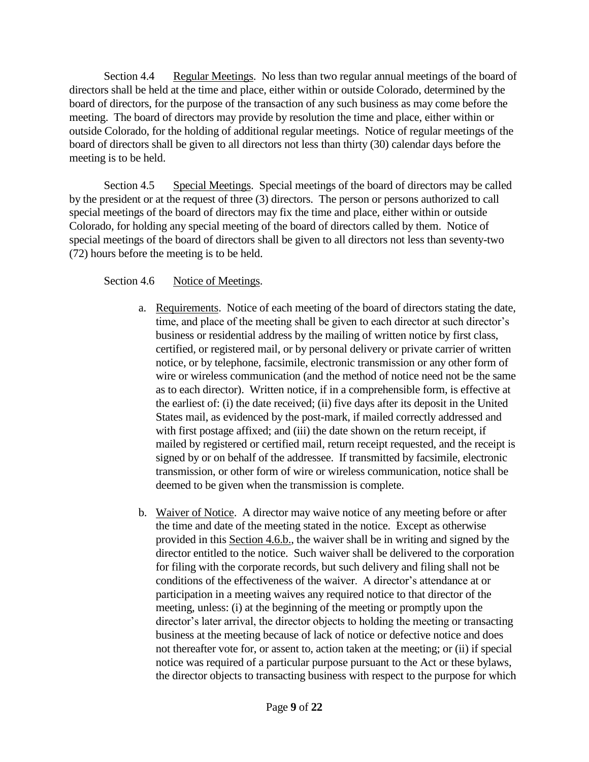Section 4.4 Regular Meetings. No less than two regular annual meetings of the board of directors shall be held at the time and place, either within or outside Colorado, determined by the board of directors, for the purpose of the transaction of any such business as may come before the meeting. The board of directors may provide by resolution the time and place, either within or outside Colorado, for the holding of additional regular meetings. Notice of regular meetings of the board of directors shall be given to all directors not less than thirty (30) calendar days before the meeting is to be held.

Section 4.5 Special Meetings. Special meetings of the board of directors may be called by the president or at the request of three (3) directors. The person or persons authorized to call special meetings of the board of directors may fix the time and place, either within or outside Colorado, for holding any special meeting of the board of directors called by them. Notice of special meetings of the board of directors shall be given to all directors not less than seventy-two (72) hours before the meeting is to be held.

Section 4.6 Notice of Meetings.

- a. Requirements. Notice of each meeting of the board of directors stating the date, time, and place of the meeting shall be given to each director at such director's business or residential address by the mailing of written notice by first class, certified, or registered mail, or by personal delivery or private carrier of written notice, or by telephone, facsimile, electronic transmission or any other form of wire or wireless communication (and the method of notice need not be the same as to each director). Written notice, if in a comprehensible form, is effective at the earliest of: (i) the date received; (ii) five days after its deposit in the United States mail, as evidenced by the post-mark, if mailed correctly addressed and with first postage affixed; and (iii) the date shown on the return receipt, if mailed by registered or certified mail, return receipt requested, and the receipt is signed by or on behalf of the addressee. If transmitted by facsimile, electronic transmission, or other form of wire or wireless communication, notice shall be deemed to be given when the transmission is complete.
- b. Waiver of Notice. A director may waive notice of any meeting before or after the time and date of the meeting stated in the notice. Except as otherwise provided in this Section 4.6.b., the waiver shall be in writing and signed by the director entitled to the notice. Such waiver shall be delivered to the corporation for filing with the corporate records, but such delivery and filing shall not be conditions of the effectiveness of the waiver. A director's attendance at or participation in a meeting waives any required notice to that director of the meeting, unless: (i) at the beginning of the meeting or promptly upon the director's later arrival, the director objects to holding the meeting or transacting business at the meeting because of lack of notice or defective notice and does not thereafter vote for, or assent to, action taken at the meeting; or (ii) if special notice was required of a particular purpose pursuant to the Act or these bylaws, the director objects to transacting business with respect to the purpose for which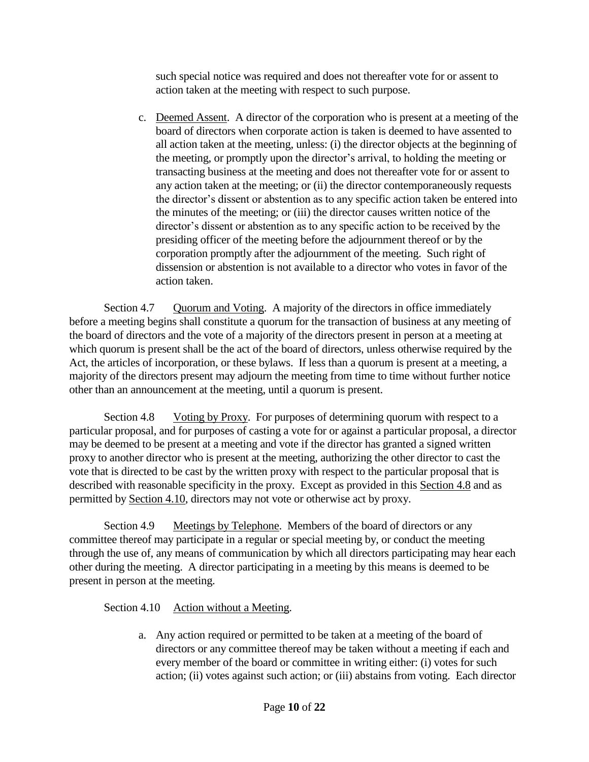such special notice was required and does not thereafter vote for or assent to action taken at the meeting with respect to such purpose.

c. Deemed Assent. A director of the corporation who is present at a meeting of the board of directors when corporate action is taken is deemed to have assented to all action taken at the meeting, unless: (i) the director objects at the beginning of the meeting, or promptly upon the director's arrival, to holding the meeting or transacting business at the meeting and does not thereafter vote for or assent to any action taken at the meeting; or (ii) the director contemporaneously requests the director's dissent or abstention as to any specific action taken be entered into the minutes of the meeting; or (iii) the director causes written notice of the director's dissent or abstention as to any specific action to be received by the presiding officer of the meeting before the adjournment thereof or by the corporation promptly after the adjournment of the meeting. Such right of dissension or abstention is not available to a director who votes in favor of the action taken.

Section 4.7 Quorum and Voting. A majority of the directors in office immediately before a meeting begins shall constitute a quorum for the transaction of business at any meeting of the board of directors and the vote of a majority of the directors present in person at a meeting at which quorum is present shall be the act of the board of directors, unless otherwise required by the Act, the articles of incorporation, or these bylaws. If less than a quorum is present at a meeting, a majority of the directors present may adjourn the meeting from time to time without further notice other than an announcement at the meeting, until a quorum is present.

Section 4.8 Voting by Proxy. For purposes of determining quorum with respect to a particular proposal, and for purposes of casting a vote for or against a particular proposal, a director may be deemed to be present at a meeting and vote if the director has granted a signed written proxy to another director who is present at the meeting, authorizing the other director to cast the vote that is directed to be cast by the written proxy with respect to the particular proposal that is described with reasonable specificity in the proxy. Except as provided in this Section 4.8 and as permitted by Section 4.10, directors may not vote or otherwise act by proxy.

Section 4.9 Meetings by Telephone. Members of the board of directors or any committee thereof may participate in a regular or special meeting by, or conduct the meeting through the use of, any means of communication by which all directors participating may hear each other during the meeting. A director participating in a meeting by this means is deemed to be present in person at the meeting.

# Section 4.10 Action without a Meeting.

a. Any action required or permitted to be taken at a meeting of the board of directors or any committee thereof may be taken without a meeting if each and every member of the board or committee in writing either: (i) votes for such action; (ii) votes against such action; or (iii) abstains from voting. Each director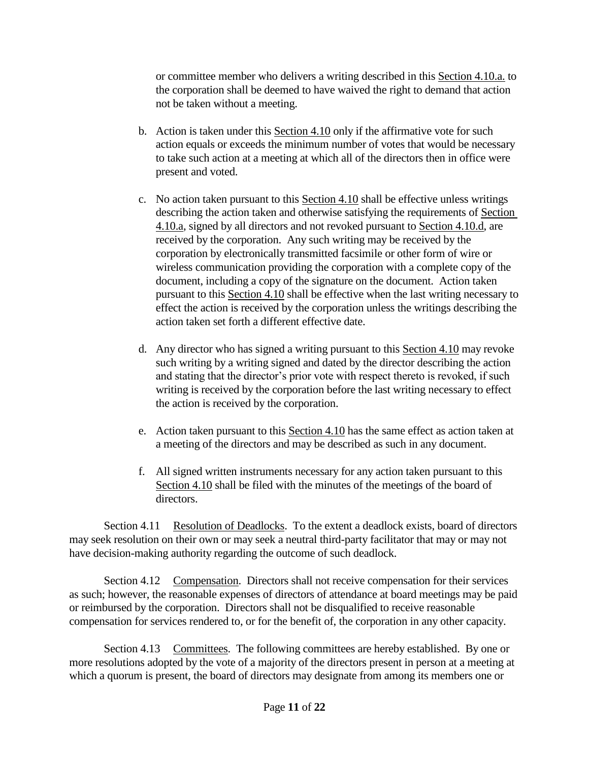or committee member who delivers a writing described in this Section 4.10.a. to the corporation shall be deemed to have waived the right to demand that action not be taken without a meeting.

- b. Action is taken under this Section 4.10 only if the affirmative vote for such action equals or exceeds the minimum number of votes that would be necessary to take such action at a meeting at which all of the directors then in office were present and voted.
- c. No action taken pursuant to this Section 4.10 shall be effective unless writings describing the action taken and otherwise satisfying the requirements of Section 4.10.a, signed by all directors and not revoked pursuant to Section 4.10.d, are received by the corporation. Any such writing may be received by the corporation by electronically transmitted facsimile or other form of wire or wireless communication providing the corporation with a complete copy of the document, including a copy of the signature on the document. Action taken pursuant to this Section 4.10 shall be effective when the last writing necessary to effect the action is received by the corporation unless the writings describing the action taken set forth a different effective date.
- d. Any director who has signed a writing pursuant to this Section 4.10 may revoke such writing by a writing signed and dated by the director describing the action and stating that the director's prior vote with respect thereto is revoked, if such writing is received by the corporation before the last writing necessary to effect the action is received by the corporation.
- e. Action taken pursuant to this Section 4.10 has the same effect as action taken at a meeting of the directors and may be described as such in any document.
- f. All signed written instruments necessary for any action taken pursuant to this Section 4.10 shall be filed with the minutes of the meetings of the board of directors.

Section 4.11 Resolution of Deadlocks. To the extent a deadlock exists, board of directors may seek resolution on their own or may seek a neutral third-party facilitator that may or may not have decision-making authority regarding the outcome of such deadlock.

Section 4.12 Compensation. Directors shall not receive compensation for their services as such; however, the reasonable expenses of directors of attendance at board meetings may be paid or reimbursed by the corporation. Directors shall not be disqualified to receive reasonable compensation for services rendered to, or for the benefit of, the corporation in any other capacity.

Section 4.13 Committees. The following committees are hereby established. By one or more resolutions adopted by the vote of a majority of the directors present in person at a meeting at which a quorum is present, the board of directors may designate from among its members one or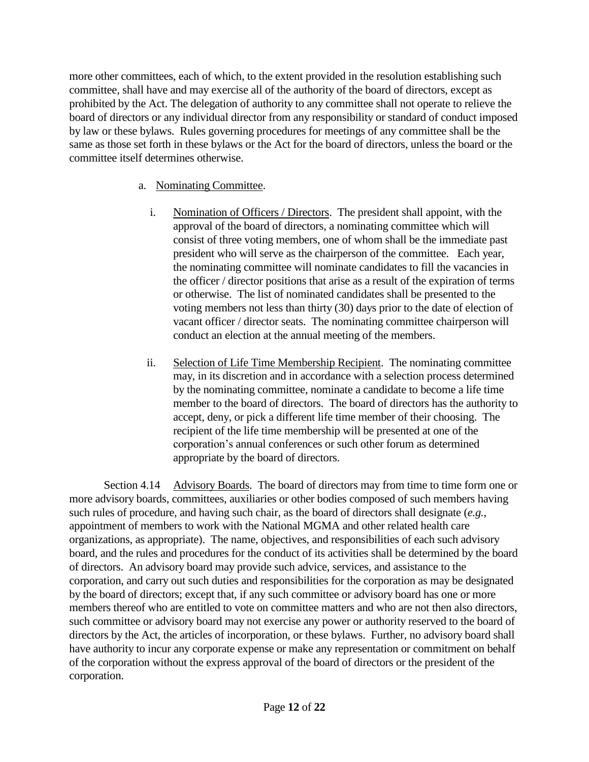more other committees, each of which, to the extent provided in the resolution establishing such committee, shall have and may exercise all of the authority of the board of directors, except as prohibited by the Act. The delegation of authority to any committee shall not operate to relieve the board of directors or any individual director from any responsibility or standard of conduct imposed by law or these bylaws. Rules governing procedures for meetings of any committee shall be the same as those set forth in these bylaws or the Act for the board of directors, unless the board or the committee itself determines otherwise.

# a. Nominating Committee.

- i. Nomination of Officers / Directors. The president shall appoint, with the approval of the board of directors, a nominating committee which will consist of three voting members, one of whom shall be the immediate past president who will serve as the chairperson of the committee. Each year, the nominating committee will nominate candidates to fill the vacancies in the officer / director positions that arise as a result of the expiration of terms or otherwise. The list of nominated candidates shall be presented to the voting members not less than thirty (30) days prior to the date of election of vacant officer / director seats. The nominating committee chairperson will conduct an election at the annual meeting of the members.
- ii. Selection of Life Time Membership Recipient. The nominating committee may, in its discretion and in accordance with a selection process determined by the nominating committee, nominate a candidate to become a life time member to the board of directors. The board of directors has the authority to accept, deny, or pick a different life time member of their choosing. The recipient of the life time membership will be presented at one of the corporation's annual conferences or such other forum as determined appropriate by the board of directors.

Section 4.14 Advisory Boards. The board of directors may from time to time form one or more advisory boards, committees, auxiliaries or other bodies composed of such members having such rules of procedure, and having such chair, as the board of directors shall designate (*e.g.*, appointment of members to work with the National MGMA and other related health care organizations, as appropriate). The name, objectives, and responsibilities of each such advisory board, and the rules and procedures for the conduct of its activities shall be determined by the board of directors. An advisory board may provide such advice, services, and assistance to the corporation, and carry out such duties and responsibilities for the corporation as may be designated by the board of directors; except that, if any such committee or advisory board has one or more members thereof who are entitled to vote on committee matters and who are not then also directors, such committee or advisory board may not exercise any power or authority reserved to the board of directors by the Act, the articles of incorporation, or these bylaws. Further, no advisory board shall have authority to incur any corporate expense or make any representation or commitment on behalf of the corporation without the express approval of the board of directors or the president of the corporation.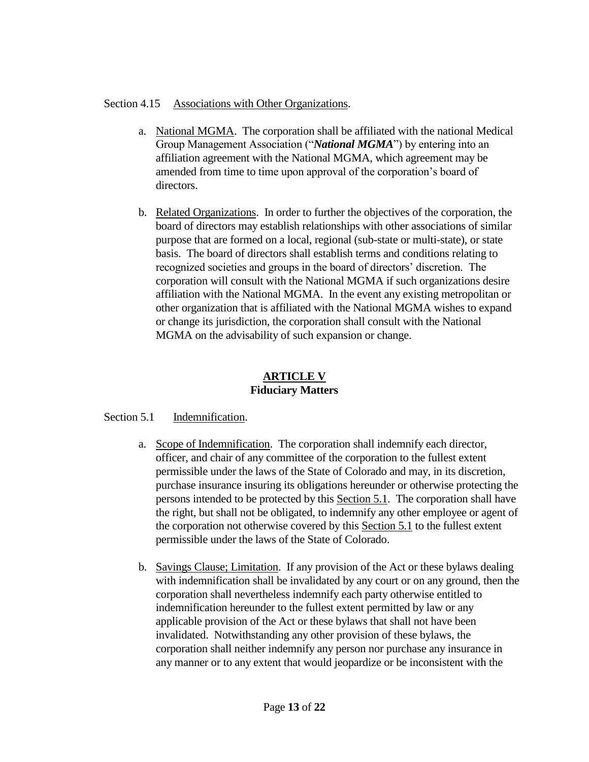## Section 4.15 Associations with Other Organizations.

- a. National MGMA. The corporation shall be affiliated with the national Medical Group Management Association ("*National MGMA*") by entering into an affiliation agreement with the National MGMA, which agreement may be amended from time to time upon approval of the corporation's board of directors.
- b. Related Organizations. In order to further the objectives of the corporation, the board of directors may establish relationships with other associations of similar purpose that are formed on a local, regional (sub-state or multi-state), or state basis. The board of directors shall establish terms and conditions relating to recognized societies and groups in the board of directors' discretion. The corporation will consult with the National MGMA if such organizations desire affiliation with the National MGMA. In the event any existing metropolitan or other organization that is affiliated with the National MGMA wishes to expand or change its jurisdiction, the corporation shall consult with the National MGMA on the advisability of such expansion or change.

# **ARTICLE V Fiduciary Matters**

# Section 5.1 Indemnification.

- a. Scope of Indemnification. The corporation shall indemnify each director, officer, and chair of any committee of the corporation to the fullest extent permissible under the laws of the State of Colorado and may, in its discretion, purchase insurance insuring its obligations hereunder or otherwise protecting the persons intended to be protected by this Section 5.1. The corporation shall have the right, but shall not be obligated, to indemnify any other employee or agent of the corporation not otherwise covered by this Section 5.1 to the fullest extent permissible under the laws of the State of Colorado.
- b. Savings Clause; Limitation. If any provision of the Act or these bylaws dealing with indemnification shall be invalidated by any court or on any ground, then the corporation shall nevertheless indemnify each party otherwise entitled to indemnification hereunder to the fullest extent permitted by law or any applicable provision of the Act or these bylaws that shall not have been invalidated. Notwithstanding any other provision of these bylaws, the corporation shall neither indemnify any person nor purchase any insurance in any manner or to any extent that would jeopardize or be inconsistent with the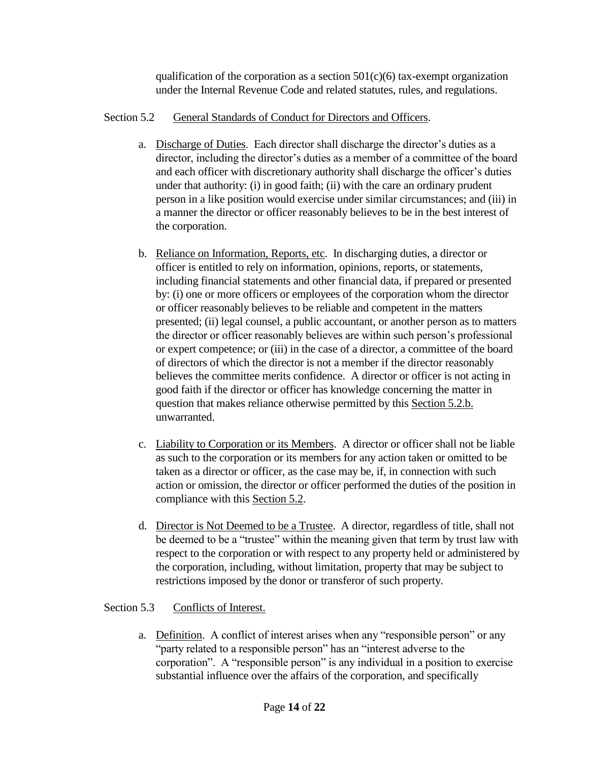qualification of the corporation as a section  $501(c)(6)$  tax-exempt organization under the Internal Revenue Code and related statutes, rules, and regulations.

# Section 5.2 General Standards of Conduct for Directors and Officers.

- a. Discharge of Duties. Each director shall discharge the director's duties as a director, including the director's duties as a member of a committee of the board and each officer with discretionary authority shall discharge the officer's duties under that authority: (i) in good faith; (ii) with the care an ordinary prudent person in a like position would exercise under similar circumstances; and (iii) in a manner the director or officer reasonably believes to be in the best interest of the corporation.
- b. Reliance on Information, Reports, etc. In discharging duties, a director or officer is entitled to rely on information, opinions, reports, or statements, including financial statements and other financial data, if prepared or presented by: (i) one or more officers or employees of the corporation whom the director or officer reasonably believes to be reliable and competent in the matters presented; (ii) legal counsel, a public accountant, or another person as to matters the director or officer reasonably believes are within such person's professional or expert competence; or (iii) in the case of a director, a committee of the board of directors of which the director is not a member if the director reasonably believes the committee merits confidence. A director or officer is not acting in good faith if the director or officer has knowledge concerning the matter in question that makes reliance otherwise permitted by this Section 5.2.b. unwarranted.
- c. Liability to Corporation or its Members. A director or officer shall not be liable as such to the corporation or its members for any action taken or omitted to be taken as a director or officer, as the case may be, if, in connection with such action or omission, the director or officer performed the duties of the position in compliance with this Section 5.2.
- d. Director is Not Deemed to be a Trustee. A director, regardless of title, shall not be deemed to be a "trustee" within the meaning given that term by trust law with respect to the corporation or with respect to any property held or administered by the corporation, including, without limitation, property that may be subject to restrictions imposed by the donor or transferor of such property.

# Section 5.3 Conflicts of Interest.

a. Definition. A conflict of interest arises when any "responsible person" or any "party related to a responsible person" has an "interest adverse to the corporation". A "responsible person" is any individual in a position to exercise substantial influence over the affairs of the corporation, and specifically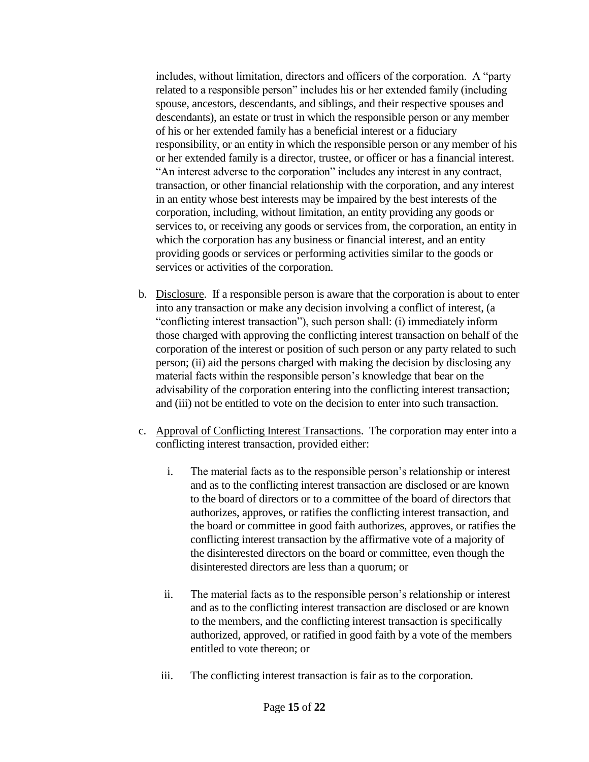includes, without limitation, directors and officers of the corporation. A "party related to a responsible person" includes his or her extended family (including spouse, ancestors, descendants, and siblings, and their respective spouses and descendants), an estate or trust in which the responsible person or any member of his or her extended family has a beneficial interest or a fiduciary responsibility, or an entity in which the responsible person or any member of his or her extended family is a director, trustee, or officer or has a financial interest. "An interest adverse to the corporation" includes any interest in any contract, transaction, or other financial relationship with the corporation, and any interest in an entity whose best interests may be impaired by the best interests of the corporation, including, without limitation, an entity providing any goods or services to, or receiving any goods or services from, the corporation, an entity in which the corporation has any business or financial interest, and an entity providing goods or services or performing activities similar to the goods or services or activities of the corporation.

- b. Disclosure. If a responsible person is aware that the corporation is about to enter into any transaction or make any decision involving a conflict of interest, (a "conflicting interest transaction"), such person shall: (i) immediately inform those charged with approving the conflicting interest transaction on behalf of the corporation of the interest or position of such person or any party related to such person; (ii) aid the persons charged with making the decision by disclosing any material facts within the responsible person's knowledge that bear on the advisability of the corporation entering into the conflicting interest transaction; and (iii) not be entitled to vote on the decision to enter into such transaction.
- c. Approval of Conflicting Interest Transactions. The corporation may enter into a conflicting interest transaction, provided either:
	- i. The material facts as to the responsible person's relationship or interest and as to the conflicting interest transaction are disclosed or are known to the board of directors or to a committee of the board of directors that authorizes, approves, or ratifies the conflicting interest transaction, and the board or committee in good faith authorizes, approves, or ratifies the conflicting interest transaction by the affirmative vote of a majority of the disinterested directors on the board or committee, even though the disinterested directors are less than a quorum; or
	- ii. The material facts as to the responsible person's relationship or interest and as to the conflicting interest transaction are disclosed or are known to the members, and the conflicting interest transaction is specifically authorized, approved, or ratified in good faith by a vote of the members entitled to vote thereon; or
	- iii. The conflicting interest transaction is fair as to the corporation.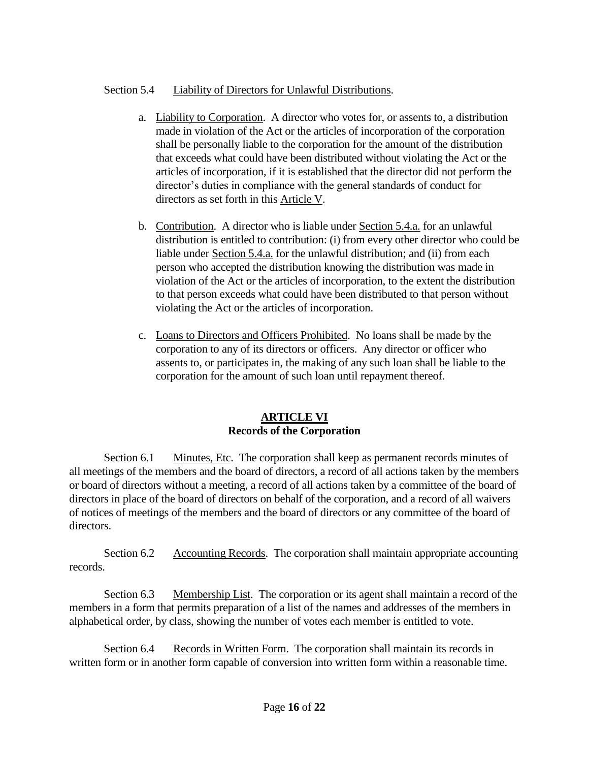# Section 5.4 Liability of Directors for Unlawful Distributions.

- a. Liability to Corporation. A director who votes for, or assents to, a distribution made in violation of the Act or the articles of incorporation of the corporation shall be personally liable to the corporation for the amount of the distribution that exceeds what could have been distributed without violating the Act or the articles of incorporation, if it is established that the director did not perform the director's duties in compliance with the general standards of conduct for directors as set forth in this Article V.
- b. Contribution. A director who is liable under Section 5.4.a. for an unlawful distribution is entitled to contribution: (i) from every other director who could be liable under Section 5.4.a. for the unlawful distribution; and (ii) from each person who accepted the distribution knowing the distribution was made in violation of the Act or the articles of incorporation, to the extent the distribution to that person exceeds what could have been distributed to that person without violating the Act or the articles of incorporation.
- c. Loans to Directors and Officers Prohibited. No loans shall be made by the corporation to any of its directors or officers. Any director or officer who assents to, or participates in, the making of any such loan shall be liable to the corporation for the amount of such loan until repayment thereof.

### **ARTICLE VI Records of the Corporation**

Section 6.1 Minutes, Etc. The corporation shall keep as permanent records minutes of all meetings of the members and the board of directors, a record of all actions taken by the members or board of directors without a meeting, a record of all actions taken by a committee of the board of directors in place of the board of directors on behalf of the corporation, and a record of all waivers of notices of meetings of the members and the board of directors or any committee of the board of directors.

Section 6.2 Accounting Records. The corporation shall maintain appropriate accounting records.

Section 6.3 Membership List. The corporation or its agent shall maintain a record of the members in a form that permits preparation of a list of the names and addresses of the members in alphabetical order, by class, showing the number of votes each member is entitled to vote.

Section 6.4 Records in Written Form. The corporation shall maintain its records in written form or in another form capable of conversion into written form within a reasonable time.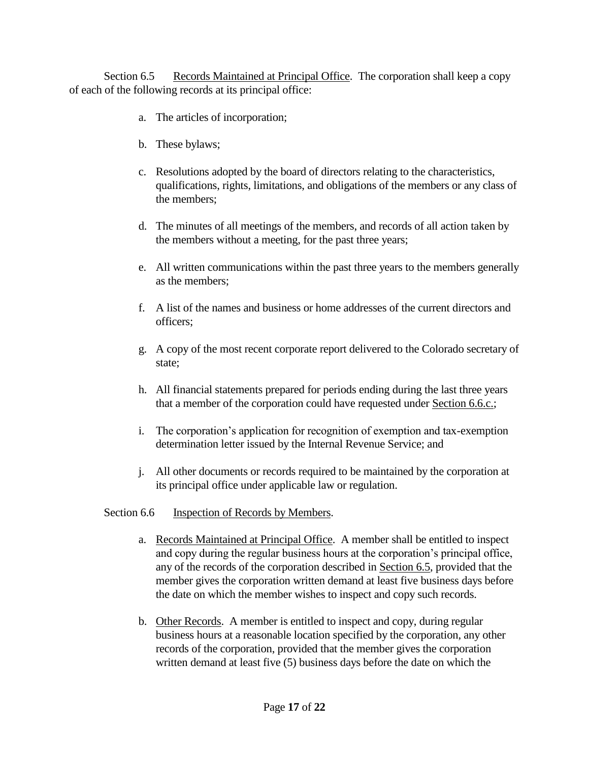Section 6.5 Records Maintained at Principal Office. The corporation shall keep a copy of each of the following records at its principal office:

- a. The articles of incorporation;
- b. These bylaws;
- c. Resolutions adopted by the board of directors relating to the characteristics, qualifications, rights, limitations, and obligations of the members or any class of the members;
- d. The minutes of all meetings of the members, and records of all action taken by the members without a meeting, for the past three years;
- e. All written communications within the past three years to the members generally as the members;
- f. A list of the names and business or home addresses of the current directors and officers;
- g. A copy of the most recent corporate report delivered to the Colorado secretary of state;
- h. All financial statements prepared for periods ending during the last three years that a member of the corporation could have requested under Section 6.6.c.;
- i. The corporation's application for recognition of exemption and tax-exemption determination letter issued by the Internal Revenue Service; and
- j. All other documents or records required to be maintained by the corporation at its principal office under applicable law or regulation.

### Section 6.6 Inspection of Records by Members.

- a. Records Maintained at Principal Office. A member shall be entitled to inspect and copy during the regular business hours at the corporation's principal office, any of the records of the corporation described in Section 6.5, provided that the member gives the corporation written demand at least five business days before the date on which the member wishes to inspect and copy such records.
- b. Other Records. A member is entitled to inspect and copy, during regular business hours at a reasonable location specified by the corporation, any other records of the corporation, provided that the member gives the corporation written demand at least five (5) business days before the date on which the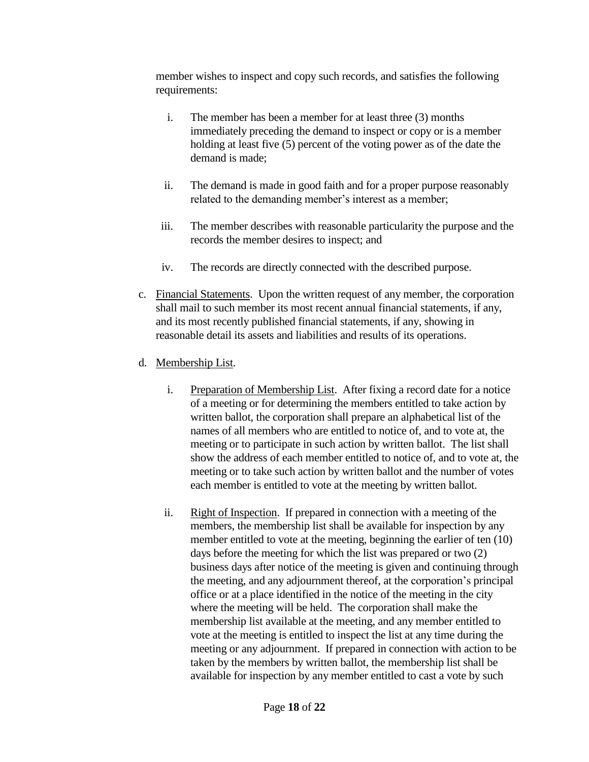member wishes to inspect and copy such records, and satisfies the following requirements:

- i. The member has been a member for at least three (3) months immediately preceding the demand to inspect or copy or is a member holding at least five (5) percent of the voting power as of the date the demand is made;
- ii. The demand is made in good faith and for a proper purpose reasonably related to the demanding member's interest as a member;
- iii. The member describes with reasonable particularity the purpose and the records the member desires to inspect; and
- iv. The records are directly connected with the described purpose.
- c. Financial Statements. Upon the written request of any member, the corporation shall mail to such member its most recent annual financial statements, if any, and its most recently published financial statements, if any, showing in reasonable detail its assets and liabilities and results of its operations.
- d. Membership List.
	- i. Preparation of Membership List. After fixing a record date for a notice of a meeting or for determining the members entitled to take action by written ballot, the corporation shall prepare an alphabetical list of the names of all members who are entitled to notice of, and to vote at, the meeting or to participate in such action by written ballot. The list shall show the address of each member entitled to notice of, and to vote at, the meeting or to take such action by written ballot and the number of votes each member is entitled to vote at the meeting by written ballot.
	- ii. Right of Inspection. If prepared in connection with a meeting of the members, the membership list shall be available for inspection by any member entitled to vote at the meeting, beginning the earlier of ten (10) days before the meeting for which the list was prepared or two (2) business days after notice of the meeting is given and continuing through the meeting, and any adjournment thereof, at the corporation's principal office or at a place identified in the notice of the meeting in the city where the meeting will be held. The corporation shall make the membership list available at the meeting, and any member entitled to vote at the meeting is entitled to inspect the list at any time during the meeting or any adjournment. If prepared in connection with action to be taken by the members by written ballot, the membership list shall be available for inspection by any member entitled to cast a vote by such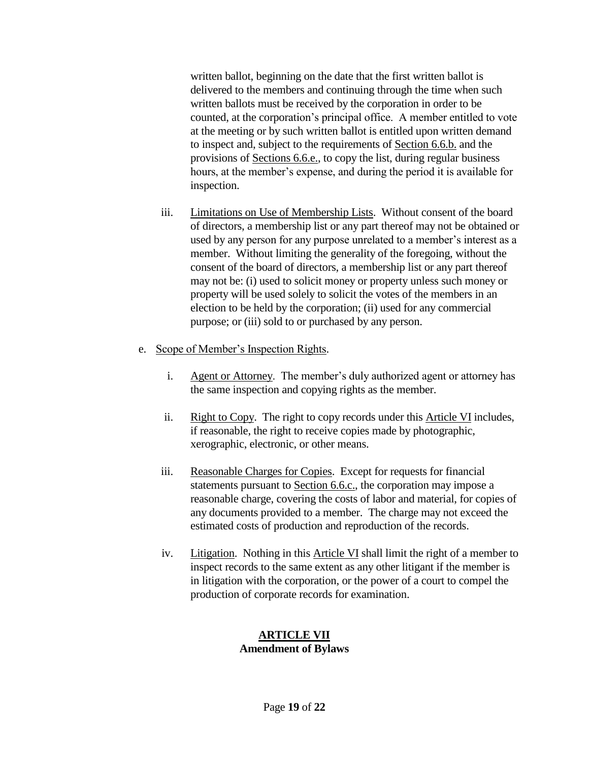written ballot, beginning on the date that the first written ballot is delivered to the members and continuing through the time when such written ballots must be received by the corporation in order to be counted, at the corporation's principal office. A member entitled to vote at the meeting or by such written ballot is entitled upon written demand to inspect and, subject to the requirements of Section 6.6.b. and the provisions of Sections 6.6.e., to copy the list, during regular business hours, at the member's expense, and during the period it is available for inspection.

- iii. Limitations on Use of Membership Lists. Without consent of the board of directors, a membership list or any part thereof may not be obtained or used by any person for any purpose unrelated to a member's interest as a member. Without limiting the generality of the foregoing, without the consent of the board of directors, a membership list or any part thereof may not be: (i) used to solicit money or property unless such money or property will be used solely to solicit the votes of the members in an election to be held by the corporation; (ii) used for any commercial purpose; or (iii) sold to or purchased by any person.
- e. Scope of Member's Inspection Rights.
	- i. Agent or Attorney. The member's duly authorized agent or attorney has the same inspection and copying rights as the member.
	- ii. Right to Copy. The right to copy records under this Article VI includes, if reasonable, the right to receive copies made by photographic, xerographic, electronic, or other means.
	- iii. Reasonable Charges for Copies. Except for requests for financial statements pursuant to Section 6.6.c., the corporation may impose a reasonable charge, covering the costs of labor and material, for copies of any documents provided to a member. The charge may not exceed the estimated costs of production and reproduction of the records.
	- iv. Litigation. Nothing in this Article VI shall limit the right of a member to inspect records to the same extent as any other litigant if the member is in litigation with the corporation, or the power of a court to compel the production of corporate records for examination.

### **ARTICLE VII Amendment of Bylaws**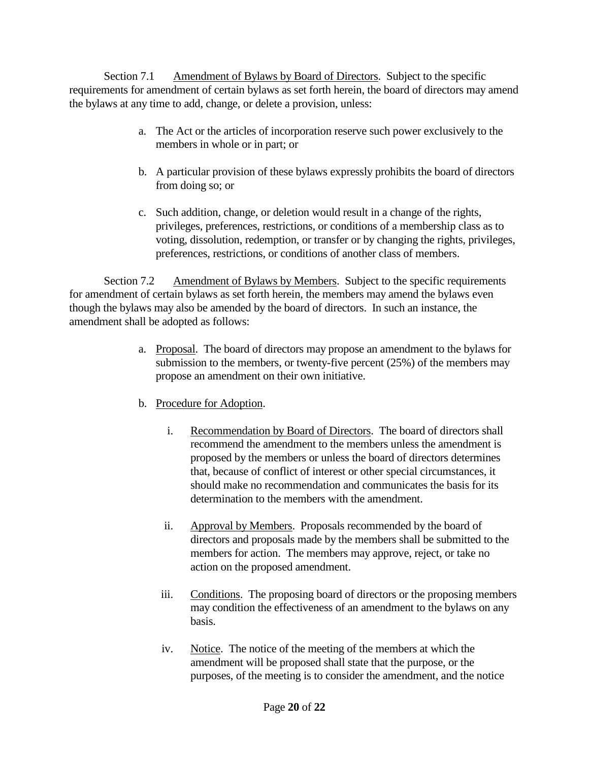Section 7.1 Amendment of Bylaws by Board of Directors. Subject to the specific requirements for amendment of certain bylaws as set forth herein, the board of directors may amend the bylaws at any time to add, change, or delete a provision, unless:

- a. The Act or the articles of incorporation reserve such power exclusively to the members in whole or in part; or
- b. A particular provision of these bylaws expressly prohibits the board of directors from doing so; or
- c. Such addition, change, or deletion would result in a change of the rights, privileges, preferences, restrictions, or conditions of a membership class as to voting, dissolution, redemption, or transfer or by changing the rights, privileges, preferences, restrictions, or conditions of another class of members.

Section 7.2 Amendment of Bylaws by Members. Subject to the specific requirements for amendment of certain bylaws as set forth herein, the members may amend the bylaws even though the bylaws may also be amended by the board of directors. In such an instance, the amendment shall be adopted as follows:

- a. Proposal. The board of directors may propose an amendment to the bylaws for submission to the members, or twenty-five percent (25%) of the members may propose an amendment on their own initiative.
- b. Procedure for Adoption.
	- i. Recommendation by Board of Directors. The board of directors shall recommend the amendment to the members unless the amendment is proposed by the members or unless the board of directors determines that, because of conflict of interest or other special circumstances, it should make no recommendation and communicates the basis for its determination to the members with the amendment.
	- ii. Approval by Members. Proposals recommended by the board of directors and proposals made by the members shall be submitted to the members for action. The members may approve, reject, or take no action on the proposed amendment.
	- iii. Conditions. The proposing board of directors or the proposing members may condition the effectiveness of an amendment to the bylaws on any basis.
	- iv. Notice. The notice of the meeting of the members at which the amendment will be proposed shall state that the purpose, or the purposes, of the meeting is to consider the amendment, and the notice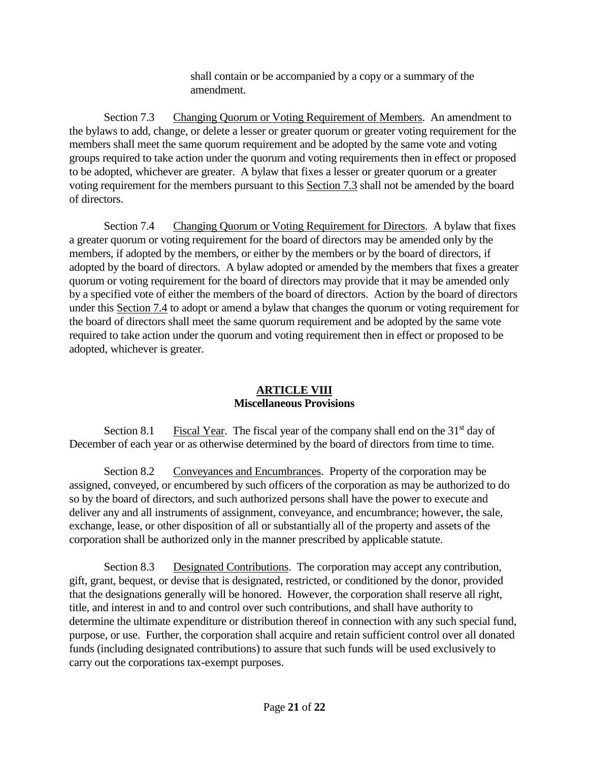shall contain or be accompanied by a copy or a summary of the amendment.

Section 7.3 Changing Quorum or Voting Requirement of Members. An amendment to the bylaws to add, change, or delete a lesser or greater quorum or greater voting requirement for the members shall meet the same quorum requirement and be adopted by the same vote and voting groups required to take action under the quorum and voting requirements then in effect or proposed to be adopted, whichever are greater. A bylaw that fixes a lesser or greater quorum or a greater voting requirement for the members pursuant to this Section 7.3 shall not be amended by the board of directors.

Section 7.4 Changing Quorum or Voting Requirement for Directors. A bylaw that fixes a greater quorum or voting requirement for the board of directors may be amended only by the members, if adopted by the members, or either by the members or by the board of directors, if adopted by the board of directors. A bylaw adopted or amended by the members that fixes a greater quorum or voting requirement for the board of directors may provide that it may be amended only by a specified vote of either the members of the board of directors. Action by the board of directors under this Section 7.4 to adopt or amend a bylaw that changes the quorum or voting requirement for the board of directors shall meet the same quorum requirement and be adopted by the same vote required to take action under the quorum and voting requirement then in effect or proposed to be adopted, whichever is greater.

# **ARTICLE VIII Miscellaneous Provisions**

Section 8.1 Fiscal Year. The fiscal year of the company shall end on the  $31<sup>st</sup>$  day of December of each year or as otherwise determined by the board of directors from time to time.

Section 8.2 Conveyances and Encumbrances. Property of the corporation may be assigned, conveyed, or encumbered by such officers of the corporation as may be authorized to do so by the board of directors, and such authorized persons shall have the power to execute and deliver any and all instruments of assignment, conveyance, and encumbrance; however, the sale, exchange, lease, or other disposition of all or substantially all of the property and assets of the corporation shall be authorized only in the manner prescribed by applicable statute.

Section 8.3 Designated Contributions. The corporation may accept any contribution, gift, grant, bequest, or devise that is designated, restricted, or conditioned by the donor, provided that the designations generally will be honored. However, the corporation shall reserve all right, title, and interest in and to and control over such contributions, and shall have authority to determine the ultimate expenditure or distribution thereof in connection with any such special fund, purpose, or use. Further, the corporation shall acquire and retain sufficient control over all donated funds (including designated contributions) to assure that such funds will be used exclusively to carry out the corporations tax-exempt purposes.